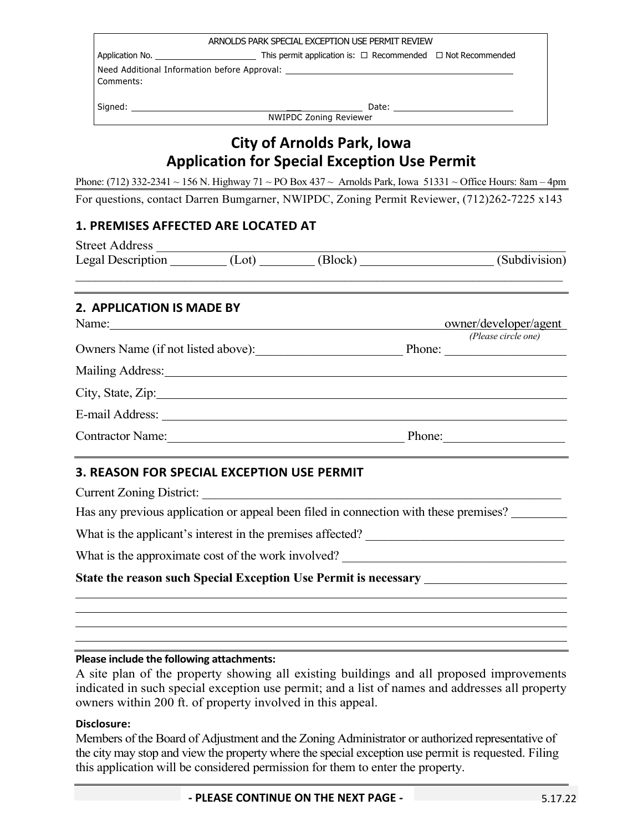| ARNOLDS PARK SPECIAL EXCEPTION USE PERMIT REVIEW                                              |                                                                                          |  |  |  |  |
|-----------------------------------------------------------------------------------------------|------------------------------------------------------------------------------------------|--|--|--|--|
|                                                                                               | This permit application is: $\Box$ Recommended $\Box$ Not Recommended<br>Application No. |  |  |  |  |
| Need Additional Information before Approval: ___________________________________<br>Comments: |                                                                                          |  |  |  |  |
| Signed:                                                                                       | Date:<br><b>NWIPDC Zoning Reviewer</b>                                                   |  |  |  |  |

# **City of Arnolds Park, Iowa Application for Special Exception Use Permit**

Phone: (712) 332-2341 ~ 156 N. Highway 71 ~ PO Box 437 ~ Arnolds Park, Iowa 51331 ~ Office Hours: 8am – 4pm For questions, contact Darren Bumgarner, NWIPDC, Zoning Permit Reviewer, (712)262-7225 x143

### **1. PREMISES AFFECTED ARE LOCATED AT**

| <b>Street Address</b>                   |  |        |                       |
|-----------------------------------------|--|--------|-----------------------|
| Legal Description (Lot) (Block) (Block) |  |        | (Subdivision)         |
|                                         |  |        |                       |
| 2. APPLICATION IS MADE BY               |  |        |                       |
| Name:                                   |  |        | owner/developer/agent |
|                                         |  |        | (Please circle one)   |
| Owners Name (if not listed above):      |  | Phone: |                       |
|                                         |  |        |                       |
| City, State, Zip:                       |  |        |                       |
|                                         |  |        |                       |
| <b>Contractor Name:</b>                 |  | Phone: |                       |

## **3. REASON FOR SPECIAL EXCEPTION USE PERMIT**

Current Zoning District:

Has any previous application or appeal been filed in connection with these premises?

What is the applicant's interest in the premises affected? \_\_\_\_\_\_\_\_\_\_\_\_\_\_\_\_\_\_\_\_\_\_\_\_\_\_\_\_\_\_\_

What is the approximate cost of the work involved? \_\_\_\_\_\_\_\_\_\_\_\_\_\_\_\_\_\_\_\_\_\_\_\_\_\_\_\_\_\_\_\_\_\_\_

### **State the reason such Special Exception Use Permit is necessary**

#### **Please include the following attachments:**

A site plan of the property showing all existing buildings and all proposed improvements indicated in such special exception use permit; and a list of names and addresses all property owners within 200 ft. of property involved in this appeal.

#### **Disclosure:**

Members of the Board of Adjustment and the Zoning Administrator or authorized representative of the city may stop and view the property where the special exception use permit is requested. Filing this application will be considered permission for them to enter the property.